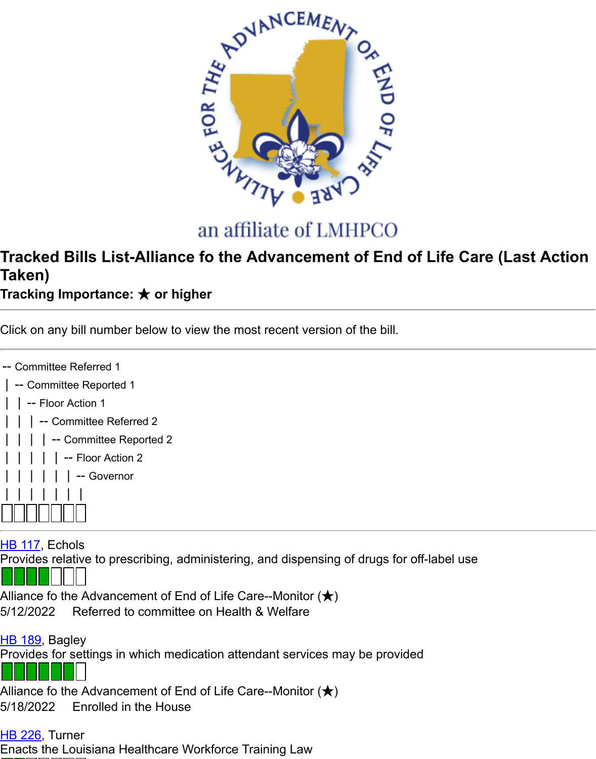

## an affiliate of LMHPCO

## **Tracked Bills List-Alliance fo the Advancement of End of Life Care (Intergon) Taken)**

**Tracking Importance: ★ or higher**

Click on any bill number below to view the most recent version of the bill.

| -- Committee Referred 1 |
|-------------------------|
| -- Committee Reported 1 |
| │ │ -- Floor Action 1   |
| -- Committee Referred 2 |
| -- Committee Reported 2 |
| -- Floor Action 2       |
| -- Governor             |
| 11111                   |
|                         |

HB 117, Echols

Provides relative to prescribing, administering, and dispensing of drugs for off-label use

Alliance fo the Advancement of End of Life Care--Monitor  $(\bigstar)$ 5/12/2022 Referred to committee on Health & Welfare

HB 189, Bagley [Provide](https://www.lanewsbureau.com/inst/2022rs/hb/01/22rs-hb117_engrossed.pdf)s for settings in which medication attendant services may be provided

Alliance fo the Advancement of End of Life Care--Monitor  $(\bigstar)$ 5/18/2022 Enrolled in the House

**HB 226, Turner** [Enacts](https://www.lanewsbureau.com/inst/2022rs/hb/01/22rs-hb189_enrolled.pdf) the Louisiana Healthcare Workforce Training Law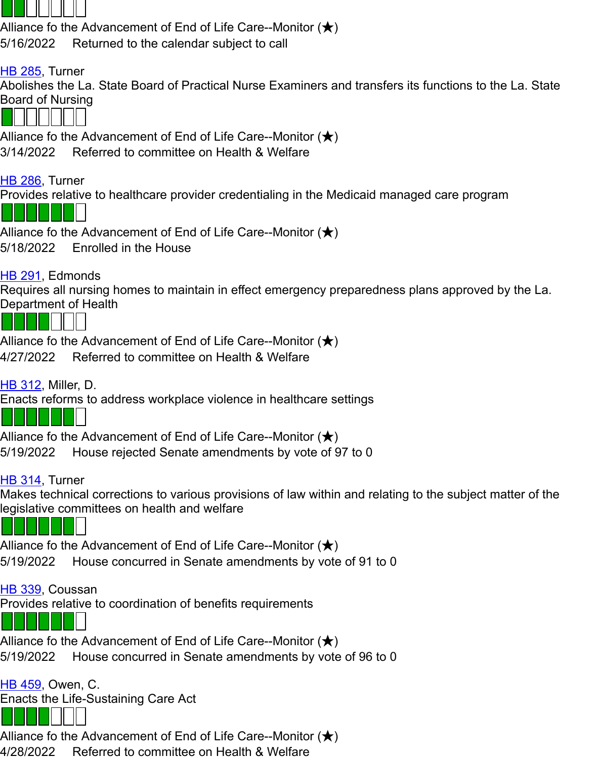

Alliance fo the Advancement of End of Life Care--Monitor  $(\bigstar)$ 3/14/2022 Referred to committee on Health & Welfare

[HB 286](https://www.lanewsbureau.com/inst/2022rs/hb/02/22rs-hb285_original.pdf), Turner

Provides relative to healthcare provider credentialing in the Medicaid managed care program

Alliance fo the Advancement of End of Life Care--Monitor  $(\bigstar)$ 5/18/2022 Enrolled in the House

## HB 291, Edmonds

[Require](https://www.lanewsbureau.com/inst/2022rs/hb/02/22rs-hb286_enrolled.pdf)s all nursing homes to maintain in effect emergency preparedness plans approved by Department of Health



Alliance fo the Advancement of End of Life Care--Monitor  $(\bigstar)$ 4/27/2022 Referred to committee on Health & Welfare

[HB 312](https://www.lanewsbureau.com/inst/2022rs/hb/02/22rs-hb291_reengrossed.pdf), Miller, D.

Enacts reforms to address workplace violence in healthcare settings

Alliance fo the Advancement of End of Life Care--Monitor  $(\bigstar)$ 

5/19/2022 House rejected Senate amendments by vote of 97 to 0

## HB 314, Turner

[Makes t](https://www.lanewsbureau.com/inst/2022rs/hb/03/22rs-hb312_reengrossed.pdf)echnical corrections to various provisions of law within and relating to the subject ma legislative committees on health and welfare



Alliance fo the Advancement of End of Life Care--Monitor  $(\bigstar)$ 5/19/2022 House concurred in Senate amendments by vote of 91 to 0

[HB 339](https://www.lanewsbureau.com/inst/2022rs/hb/03/22rs-hb314_reengrossed.pdf), Coussan

Provides relative to coordination of benefits requirements



Alliance fo the Advancement of End of Life Care--Monitor  $(\bigstar)$ 5/19/2022 House concurred in Senate amendments by vote of 96 to 0

**HB 459, Owen, C.** [Enacts](https://www.lanewsbureau.com/inst/2022rs/hb/03/22rs-hb339_reengrossed.pdf) the Life-Sustaining Care Act

Alliance fo the Advancement of End of Life Care--Monitor  $(\bigstar)$ 

4/28/2022 Referred to committee on Health & Welfare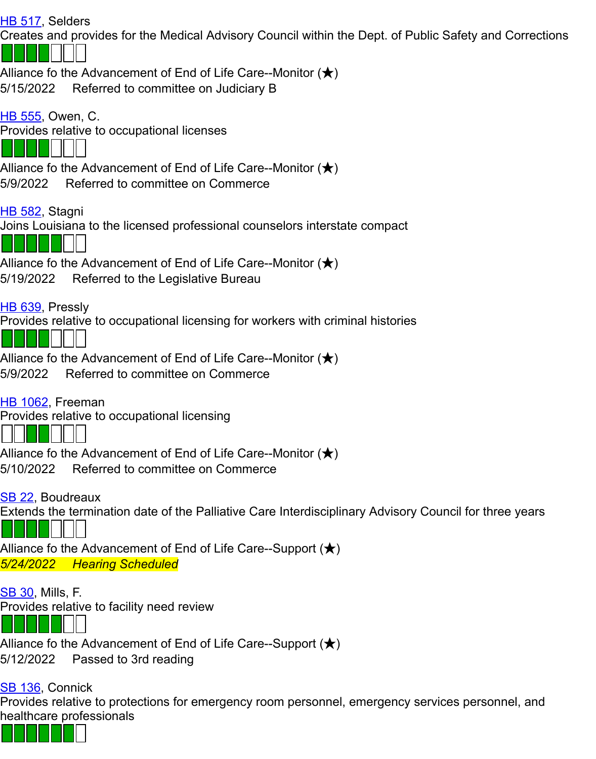| <u>HB 555</u> , Owen, C.                                                                                            |
|---------------------------------------------------------------------------------------------------------------------|
| Provides relative to occupational licenses                                                                          |
|                                                                                                                     |
| Alliance fo the Advancement of End of Life Care--Monitor $(\bigstar)$                                               |
| 5/9/2022 Referred to committee on Commerce                                                                          |
| <u>HB 582</u> , Stagni                                                                                              |
| Joins Louisiana to the licensed professional counselors interstate compact                                          |
|                                                                                                                     |
| Alliance fo the Advancement of End of Life Care--Monitor $(\bigstar)$                                               |
| 5/19/2022 Referred to the Legislative Bureau                                                                        |
| <u>HB 639</u> , Pressly                                                                                             |
| Provides relative to occupational licensing for workers with criminal histories                                     |
|                                                                                                                     |
| Alliance fo the Advancement of End of Life Care--Monitor $(\bigstar)$                                               |
| 5/9/2022 Referred to committee on Commerce                                                                          |
| <u>HB 1062</u> , Freeman                                                                                            |
| Provides relative to occupational licensing                                                                         |
|                                                                                                                     |
| Alliance fo the Advancement of End of Life Care--Monitor $(\bigstar)$                                               |
| 5/10/2022<br>Referred to committee on Commerce                                                                      |
|                                                                                                                     |
| SB 22, Boudreaux<br>Extends the termination date of the Palliative Care Interdisciplinary Advisory Council for thre |
|                                                                                                                     |
| Alliance fo the Advancement of End of Life Care--Support ( $\bigstar$ )                                             |
| 5/24/2022 Hearing Scheduled                                                                                         |
|                                                                                                                     |
| <u>SB 30</u> , Mills, F.<br>Provides relative to facility need review                                               |
|                                                                                                                     |
|                                                                                                                     |
| Alliance fo the Advancement of End of Life Care--Support ( $\bigstar$ )<br>5/12/2022<br>Passed to 3rd reading       |
|                                                                                                                     |
| SB 136, Connick                                                                                                     |

[Provid](https://www.lanewsbureau.com/inst/2022rs/sb/00/22rs-sb30_engrossed.pdf)es relative to protections for emergency room personnel, emergency services personn healthcare professionals